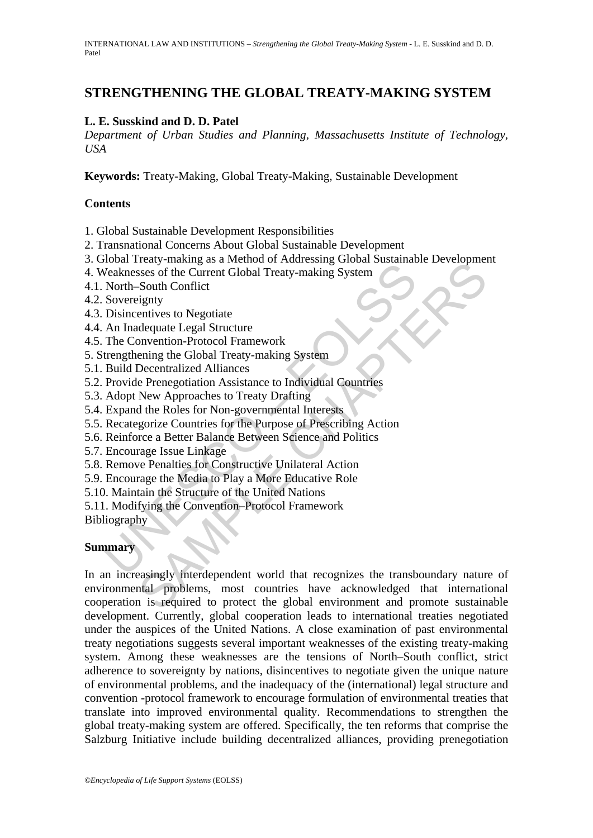# **STRENGTHENING THE GLOBAL TREATY-MAKING SYSTEM**

### **L. E. Susskind and D. D. Patel**

*Department of Urban Studies and Planning, Massachusetts Institute of Technology, USA* 

**Keywords:** Treaty-Making, Global Treaty-Making, Sustainable Development

#### **Contents**

1. Global Sustainable Development Responsibilities

- 2. Transnational Concerns About Global Sustainable Development
- 3. Global Treaty-making as a Method of Addressing Global Sustainable Development
- 4. Weaknesses of the Current Global Treaty-making System
- 4.1. North–South Conflict
- 4.2. Sovereignty
- 4.3. Disincentives to Negotiate
- 4.4. An Inadequate Legal Structure
- 4.5. The Convention-Protocol Framework
- 5. Strengthening the Global Treaty-making System
- 5.1. Build Decentralized Alliances
- 5.2. Provide Prenegotiation Assistance to Individual Countries
- 5.3. Adopt New Approaches to Treaty Drafting
- 5.4. Expand the Roles for Non-governmental Interests
- 5.5. Recategorize Countries for the Purpose of Prescribing Action
- 5.6. Reinforce a Better Balance Between Science and Politics
- 5.7. Encourage Issue Linkage
- 5.8. Remove Penalties for Constructive Unilateral Action
- 5.9. Encourage the Media to Play a More Educative Role
- 5.10. Maintain the Structure of the United Nations
- From Transport of Pather and Search and Search and Search Transport (Fig. 2004)<br>
Search Search Conflict<br>
Search Sovereignty<br>
Disincentives to Negotiate<br>
An Inadequate Legal Structure<br>
The Convention-Protocol Framework<br>
Tre 5.11. Modifying the Convention–Protocol Framework
- Bibliography

# **Summary**

Training as a window of Audiessing Global Sustainable Development<br>
Sesses of the Current Global Treaty-making System<br>
South Conflict<br>
signty<br>
setting the Global Treaty-making System<br>
South Conflict<br>
dequate Legal Structure In an increasingly interdependent world that recognizes the transboundary nature of environmental problems, most countries have acknowledged that international cooperation is required to protect the global environment and promote sustainable development. Currently, global cooperation leads to international treaties negotiated under the auspices of the United Nations. A close examination of past environmental treaty negotiations suggests several important weaknesses of the existing treaty-making system. Among these weaknesses are the tensions of North–South conflict, strict adherence to sovereignty by nations, disincentives to negotiate given the unique nature of environmental problems, and the inadequacy of the (international) legal structure and convention -protocol framework to encourage formulation of environmental treaties that translate into improved environmental quality. Recommendations to strengthen the global treaty-making system are offered. Specifically, the ten reforms that comprise the Salzburg Initiative include building decentralized alliances, providing prenegotiation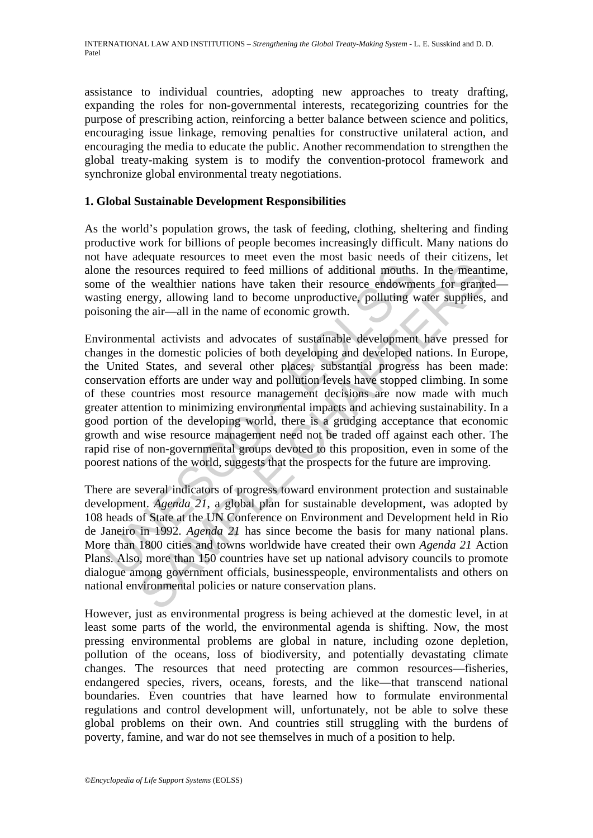assistance to individual countries, adopting new approaches to treaty drafting, expanding the roles for non-governmental interests, recategorizing countries for the purpose of prescribing action, reinforcing a better balance between science and politics, encouraging issue linkage, removing penalties for constructive unilateral action, and encouraging the media to educate the public. Another recommendation to strengthen the global treaty-making system is to modify the convention-protocol framework and synchronize global environmental treaty negotiations.

### **1. Global Sustainable Development Responsibilities**

As the world's population grows, the task of feeding, clothing, sheltering and finding productive work for billions of people becomes increasingly difficult. Many nations do not have adequate resources to meet even the most basic needs of their citizens, let alone the resources required to feed millions of additional mouths. In the meantime, some of the wealthier nations have taken their resource endowments for granted wasting energy, allowing land to become unproductive, polluting water supplies, and poisoning the air—all in the name of economic growth.

is the resources required to feed millions of additional mouths.<br>
e of the wealthier nations have taken their resource endowmeting energy, allowing land to become unproductive, polluting v<br>
oning the air—all in the name of expansion to find the mean of the means the summer of ficials, businesspect in the meant of examinergy, allowing land to become unproductive, polluting water supplies, the air—all in the name of economic growth.<br>Figure ai Environmental activists and advocates of sustainable development have pressed for changes in the domestic policies of both developing and developed nations. In Europe, the United States, and several other places, substantial progress has been made: conservation efforts are under way and pollution levels have stopped climbing. In some of these countries most resource management decisions are now made with much greater attention to minimizing environmental impacts and achieving sustainability. In a good portion of the developing world, there is a grudging acceptance that economic growth and wise resource management need not be traded off against each other. The rapid rise of non-governmental groups devoted to this proposition, even in some of the poorest nations of the world, suggests that the prospects for the future are improving.

There are several indicators of progress toward environment protection and sustainable development. *Agenda 21*, a global plan for sustainable development, was adopted by 108 heads of State at the UN Conference on Environment and Development held in Rio de Janeiro in 1992. *Agenda 21* has since become the basis for many national plans. More than 1800 cities and towns worldwide have created their own *Agenda 21* Action Plans. Also, more than 150 countries have set up national advisory councils to promote dialogue among government officials, businesspeople, environmentalists and others on national environmental policies or nature conservation plans.

However, just as environmental progress is being achieved at the domestic level, in at least some parts of the world, the environmental agenda is shifting. Now, the most pressing environmental problems are global in nature, including ozone depletion, pollution of the oceans, loss of biodiversity, and potentially devastating climate changes. The resources that need protecting are common resources—fisheries, endangered species, rivers, oceans, forests, and the like—that transcend national boundaries. Even countries that have learned how to formulate environmental regulations and control development will, unfortunately, not be able to solve these global problems on their own. And countries still struggling with the burdens of poverty, famine, and war do not see themselves in much of a position to help.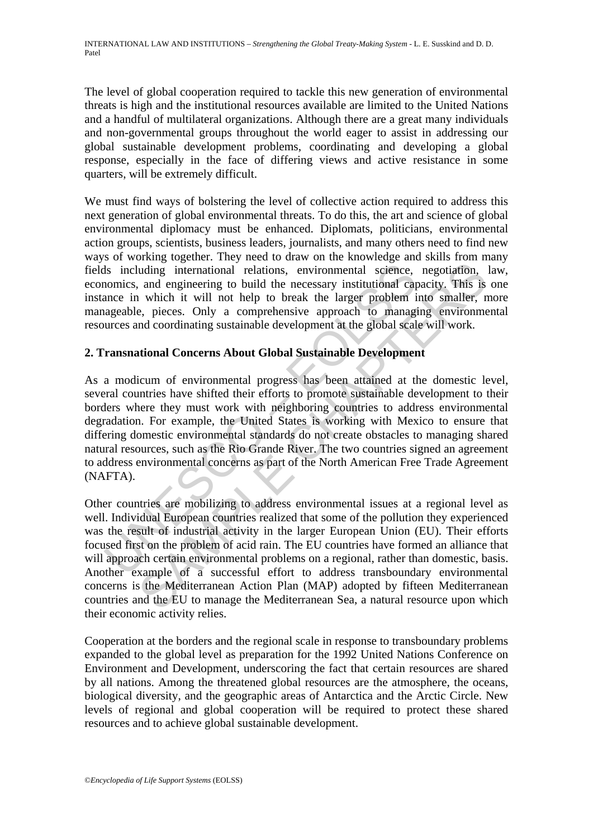The level of global cooperation required to tackle this new generation of environmental threats is high and the institutional resources available are limited to the United Nations and a handful of multilateral organizations. Although there are a great many individuals and non-governmental groups throughout the world eager to assist in addressing our global sustainable development problems, coordinating and developing a global response, especially in the face of differing views and active resistance in some quarters, will be extremely difficult.

We must find ways of bolstering the level of collective action required to address this next generation of global environmental threats. To do this, the art and science of global environmental diplomacy must be enhanced. Diplomats, politicians, environmental action groups, scientists, business leaders, journalists, and many others need to find new ways of working together. They need to draw on the knowledge and skills from many fields including international relations, environmental science, negotiation, law, economics, and engineering to build the necessary institutional capacity. This is one instance in which it will not help to break the larger problem into smaller, more manageable, pieces. Only a comprehensive approach to managing environmental resources and coordinating sustainable development at the global scale will work.

# **2. Transnational Concerns About Global Sustainable Development**

Is including international relations, environmental science,<br>nomics, and engineering to build the necessary institutional car<br>ance in which it will not help to break the larger problem i<br>ageable, pieces. Only a comprehensi As a modicum of environmental progress has been attained at the domestic level, several countries have shifted their efforts to promote sustainable development to their borders where they must work with neighboring countries to address environmental degradation. For example, the United States is working with Mexico to ensure that differing domestic environmental standards do not create obstacles to managing shared natural resources, such as the Rio Grande River. The two countries signed an agreement to address environmental concerns as part of the North American Free Trade Agreement (NAFTA).

udding "international relations, environmental science, negotiation, and engineering to build the necessary institutional capacity. This is which it will not help to break the larger problem into smaller, relations, e, pie Other countries are mobilizing to address environmental issues at a regional level as well. Individual European countries realized that some of the pollution they experienced was the result of industrial activity in the larger European Union (EU). Their efforts focused first on the problem of acid rain. The EU countries have formed an alliance that will approach certain environmental problems on a regional, rather than domestic, basis. Another example of a successful effort to address transboundary environmental concerns is the Mediterranean Action Plan (MAP) adopted by fifteen Mediterranean countries and the EU to manage the Mediterranean Sea, a natural resource upon which their economic activity relies.

Cooperation at the borders and the regional scale in response to transboundary problems expanded to the global level as preparation for the 1992 United Nations Conference on Environment and Development, underscoring the fact that certain resources are shared by all nations. Among the threatened global resources are the atmosphere, the oceans, biological diversity, and the geographic areas of Antarctica and the Arctic Circle. New levels of regional and global cooperation will be required to protect these shared resources and to achieve global sustainable development.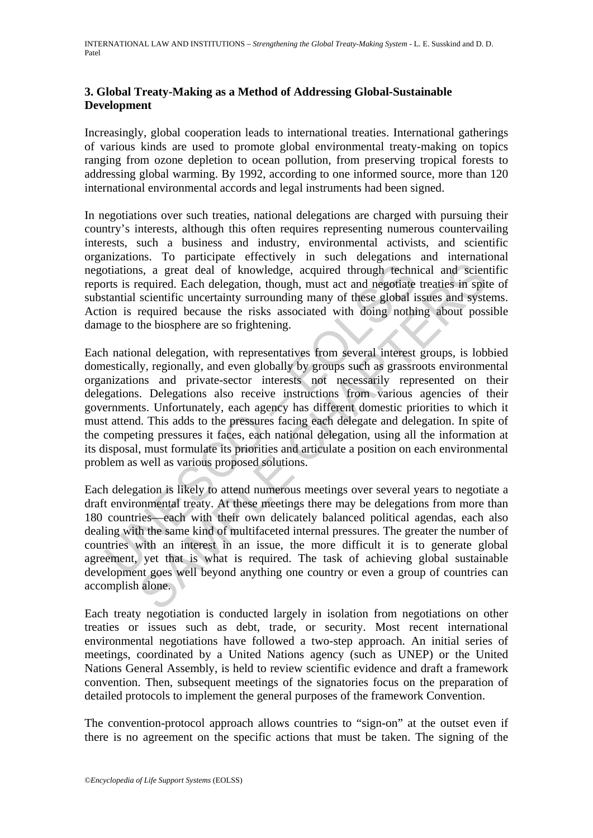# **3. Global Treaty-Making as a Method of Addressing Global-Sustainable Development**

Increasingly, global cooperation leads to international treaties. International gatherings of various kinds are used to promote global environmental treaty-making on topics ranging from ozone depletion to ocean pollution, from preserving tropical forests to addressing global warming. By 1992, according to one informed source, more than 120 international environmental accords and legal instruments had been signed.

In negotiations over such treaties, national delegations are charged with pursuing their country's interests, although this often requires representing numerous countervailing interests, such a business and industry, environmental activists, and scientific organizations. To participate effectively in such delegations and international negotiations, a great deal of knowledge, acquired through technical and scientific reports is required. Each delegation, though, must act and negotiate treaties in spite of substantial scientific uncertainty surrounding many of these global issues and systems. Action is required because the risks associated with doing nothing about possible damage to the biosphere are so frightening.

oriations, a great deal of knowledge, acquired through technic<br>toitations, a great deal of knowledge, acquired through technic<br>ts is required. Each delegation, though, must act and negotiate<br>tantial scientific uncertainty ss, a great deal of knowledge, acquired through technical and science<br>required. Each delegation, though, must act and negotiate treaties in spit<br>scientific uncertainty surrounding many of these global issues and systs<br>requ Each national delegation, with representatives from several interest groups, is lobbied domestically, regionally, and even globally by groups such as grassroots environmental organizations and private-sector interests not necessarily represented on their delegations. Delegations also receive instructions from various agencies of their governments. Unfortunately, each agency has different domestic priorities to which it must attend. This adds to the pressures facing each delegate and delegation. In spite of the competing pressures it faces, each national delegation, using all the information at its disposal, must formulate its priorities and articulate a position on each environmental problem as well as various proposed solutions.

Each delegation is likely to attend numerous meetings over several years to negotiate a draft environmental treaty. At these meetings there may be delegations from more than 180 countries—each with their own delicately balanced political agendas, each also dealing with the same kind of multifaceted internal pressures. The greater the number of countries with an interest in an issue, the more difficult it is to generate global agreement, yet that is what is required. The task of achieving global sustainable development goes well beyond anything one country or even a group of countries can accomplish alone.

Each treaty negotiation is conducted largely in isolation from negotiations on other treaties or issues such as debt, trade, or security. Most recent international environmental negotiations have followed a two-step approach. An initial series of meetings, coordinated by a United Nations agency (such as UNEP) or the United Nations General Assembly, is held to review scientific evidence and draft a framework convention. Then, subsequent meetings of the signatories focus on the preparation of detailed protocols to implement the general purposes of the framework Convention.

The convention-protocol approach allows countries to "sign-on" at the outset even if there is no agreement on the specific actions that must be taken. The signing of the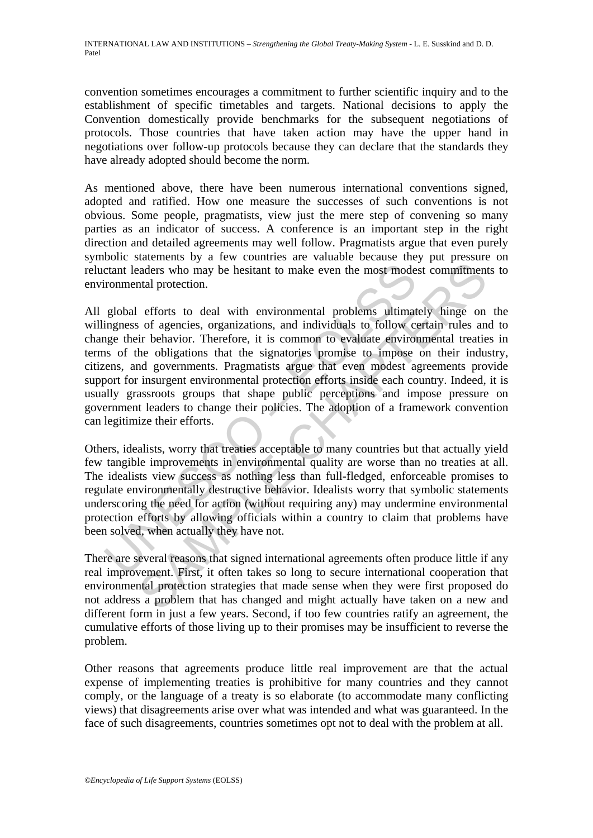convention sometimes encourages a commitment to further scientific inquiry and to the establishment of specific timetables and targets. National decisions to apply the Convention domestically provide benchmarks for the subsequent negotiations of protocols. Those countries that have taken action may have the upper hand in negotiations over follow-up protocols because they can declare that the standards they have already adopted should become the norm.

As mentioned above, there have been numerous international conventions signed, adopted and ratified. How one measure the successes of such conventions is not obvious. Some people, pragmatists, view just the mere step of convening so many parties as an indicator of success. A conference is an important step in the right direction and detailed agreements may well follow. Pragmatists argue that even purely symbolic statements by a few countries are valuable because they put pressure on reluctant leaders who may be hesitant to make even the most modest commitments to environmental protection.

ctant leaders who may be hesitant to make even the most mode<br>ironmental protection.<br>global efforts to deal with environmental problems ultimat<br>ingness of agencies, organizations, and individuals to follow co<br>nigge their be anders who may be hesitant to make even the most modest commitment<br>anders who may be hesitant to make even the most modest commitment<br>and protection.<br>efforts to deal with environmental problems ultimately hinge on<br>of agenc All global efforts to deal with environmental problems ultimately hinge on the willingness of agencies, organizations, and individuals to follow certain rules and to change their behavior. Therefore, it is common to evaluate environmental treaties in terms of the obligations that the signatories promise to impose on their industry, citizens, and governments. Pragmatists argue that even modest agreements provide support for insurgent environmental protection efforts inside each country. Indeed, it is usually grassroots groups that shape public perceptions and impose pressure on government leaders to change their policies. The adoption of a framework convention can legitimize their efforts.

Others, idealists, worry that treaties acceptable to many countries but that actually yield few tangible improvements in environmental quality are worse than no treaties at all. The idealists view success as nothing less than full-fledged, enforceable promises to regulate environmentally destructive behavior. Idealists worry that symbolic statements underscoring the need for action (without requiring any) may undermine environmental protection efforts by allowing officials within a country to claim that problems have been solved, when actually they have not.

There are several reasons that signed international agreements often produce little if any real improvement. First, it often takes so long to secure international cooperation that environmental protection strategies that made sense when they were first proposed do not address a problem that has changed and might actually have taken on a new and different form in just a few years. Second, if too few countries ratify an agreement, the cumulative efforts of those living up to their promises may be insufficient to reverse the problem.

Other reasons that agreements produce little real improvement are that the actual expense of implementing treaties is prohibitive for many countries and they cannot comply, or the language of a treaty is so elaborate (to accommodate many conflicting views) that disagreements arise over what was intended and what was guaranteed. In the face of such disagreements, countries sometimes opt not to deal with the problem at all.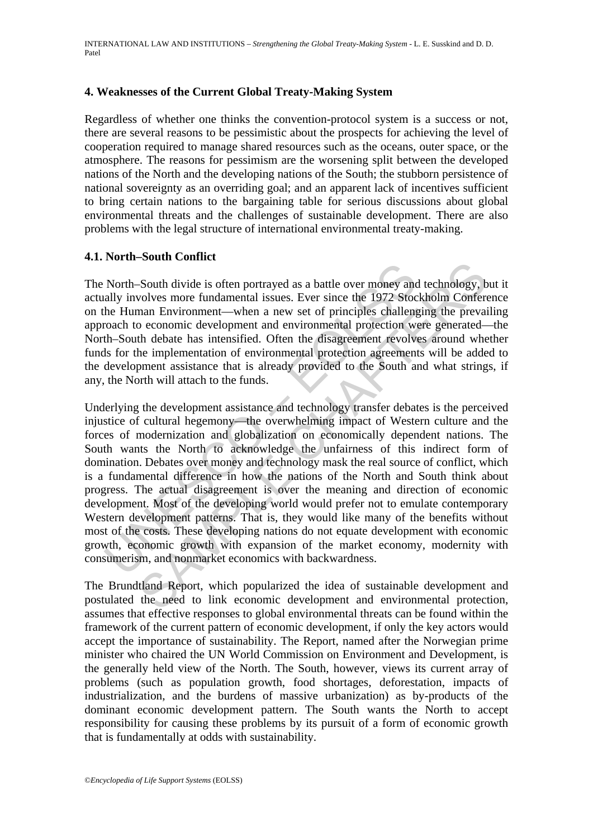### **4. Weaknesses of the Current Global Treaty-Making System**

Regardless of whether one thinks the convention-protocol system is a success or not, there are several reasons to be pessimistic about the prospects for achieving the level of cooperation required to manage shared resources such as the oceans, outer space, or the atmosphere. The reasons for pessimism are the worsening split between the developed nations of the North and the developing nations of the South; the stubborn persistence of national sovereignty as an overriding goal; and an apparent lack of incentives sufficient to bring certain nations to the bargaining table for serious discussions about global environmental threats and the challenges of sustainable development. There are also problems with the legal structure of international environmental treaty-making.

#### **4.1. North–South Conflict**

The North–South divide is often portrayed as a battle over money and technology, but it actually involves more fundamental issues. Ever since the 1972 Stockholm Conference on the Human Environment—when a new set of principles challenging the prevailing approach to economic development and environmental protection were generated—the North–South debate has intensified. Often the disagreement revolves around whether funds for the implementation of environmental protection agreements will be added to the development assistance that is already provided to the South and what strings, if any, the North will attach to the funds.

North-South divide is often portrayed as a battle over money andly involves more fundamental issues. Ever since the 1972 Stocke He Human Environment—when a new set of principles challeng to caonomic development and environ South divide is often portrayed as a battle over money and technology, bovolves more fundamental issues. Ever since the 1972 Stockholm Conferent man Environment—when a new set of principles challenging the prevail on cocon Underlying the development assistance and technology transfer debates is the perceived injustice of cultural hegemony—the overwhelming impact of Western culture and the forces of modernization and globalization on economically dependent nations. The South wants the North to acknowledge the unfairness of this indirect form of domination. Debates over money and technology mask the real source of conflict, which is a fundamental difference in how the nations of the North and South think about progress. The actual disagreement is over the meaning and direction of economic development. Most of the developing world would prefer not to emulate contemporary Western development patterns. That is, they would like many of the benefits without most of the costs. These developing nations do not equate development with economic growth, economic growth with expansion of the market economy, modernity with consumerism, and nonmarket economics with backwardness.

The Brundtland Report, which popularized the idea of sustainable development and postulated the need to link economic development and environmental protection, assumes that effective responses to global environmental threats can be found within the framework of the current pattern of economic development, if only the key actors would accept the importance of sustainability. The Report, named after the Norwegian prime minister who chaired the UN World Commission on Environment and Development, is the generally held view of the North. The South, however, views its current array of problems (such as population growth, food shortages, deforestation, impacts of industrialization, and the burdens of massive urbanization) as by-products of the dominant economic development pattern. The South wants the North to accept responsibility for causing these problems by its pursuit of a form of economic growth that is fundamentally at odds with sustainability.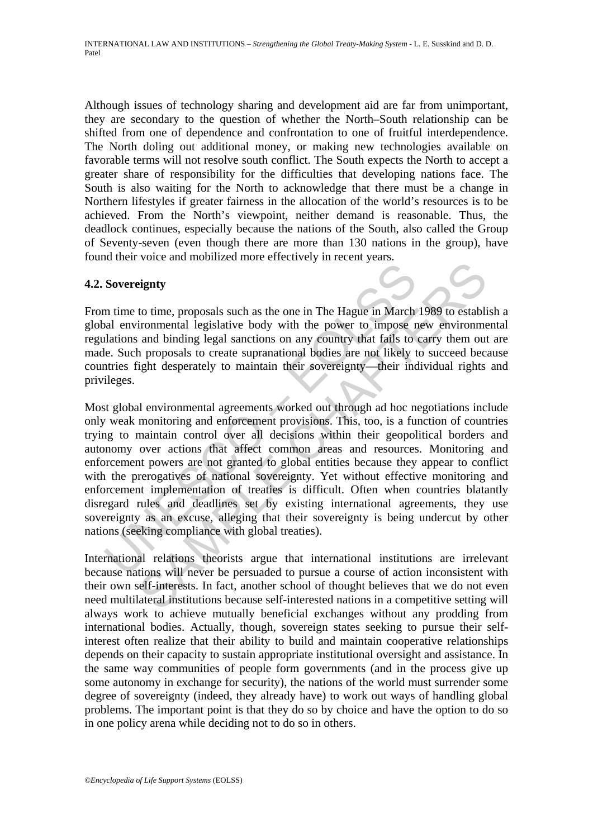Although issues of technology sharing and development aid are far from unimportant, they are secondary to the question of whether the North–South relationship can be shifted from one of dependence and confrontation to one of fruitful interdependence. The North doling out additional money, or making new technologies available on favorable terms will not resolve south conflict. The South expects the North to accept a greater share of responsibility for the difficulties that developing nations face. The South is also waiting for the North to acknowledge that there must be a change in Northern lifestyles if greater fairness in the allocation of the world's resources is to be achieved. From the North's viewpoint, neither demand is reasonable. Thus, the deadlock continues, especially because the nations of the South, also called the Group of Seventy-seven (even though there are more than 130 nations in the group), have found their voice and mobilized more effectively in recent years.

# **4.2. Sovereignty**

From time to time, proposals such as the one in The Hague in March 1989 to establish a global environmental legislative body with the power to impose new environmental regulations and binding legal sanctions on any country that fails to carry them out are made. Such proposals to create supranational bodies are not likely to succeed because countries fight desperately to maintain their sovereignty—their individual rights and privileges.

**Sovereignty**<br>
In time to time, proposals such as the one in The Hague in March<br>
Inal environmental legislative body with the power to impose n<br>
Inalisms and binding legal sanctions on any country that fails to<br>
le. Such p Figure 1.1 The Hague in The Hague in March 1989 to establi<br>trommental legislative body with the power to impose new environmental legislative body with the power to impose new environmental and binding legal sanctions on a Most global environmental agreements worked out through ad hoc negotiations include only weak monitoring and enforcement provisions. This, too, is a function of countries trying to maintain control over all decisions within their geopolitical borders and autonomy over actions that affect common areas and resources. Monitoring and enforcement powers are not granted to global entities because they appear to conflict with the prerogatives of national sovereignty. Yet without effective monitoring and enforcement implementation of treaties is difficult. Often when countries blatantly disregard rules and deadlines set by existing international agreements, they use sovereignty as an excuse, alleging that their sovereignty is being undercut by other nations (seeking compliance with global treaties).

International relations theorists argue that international institutions are irrelevant because nations will never be persuaded to pursue a course of action inconsistent with their own self-interests. In fact, another school of thought believes that we do not even need multilateral institutions because self-interested nations in a competitive setting will always work to achieve mutually beneficial exchanges without any prodding from international bodies. Actually, though, sovereign states seeking to pursue their selfinterest often realize that their ability to build and maintain cooperative relationships depends on their capacity to sustain appropriate institutional oversight and assistance. In the same way communities of people form governments (and in the process give up some autonomy in exchange for security), the nations of the world must surrender some degree of sovereignty (indeed, they already have) to work out ways of handling global problems. The important point is that they do so by choice and have the option to do so in one policy arena while deciding not to do so in others.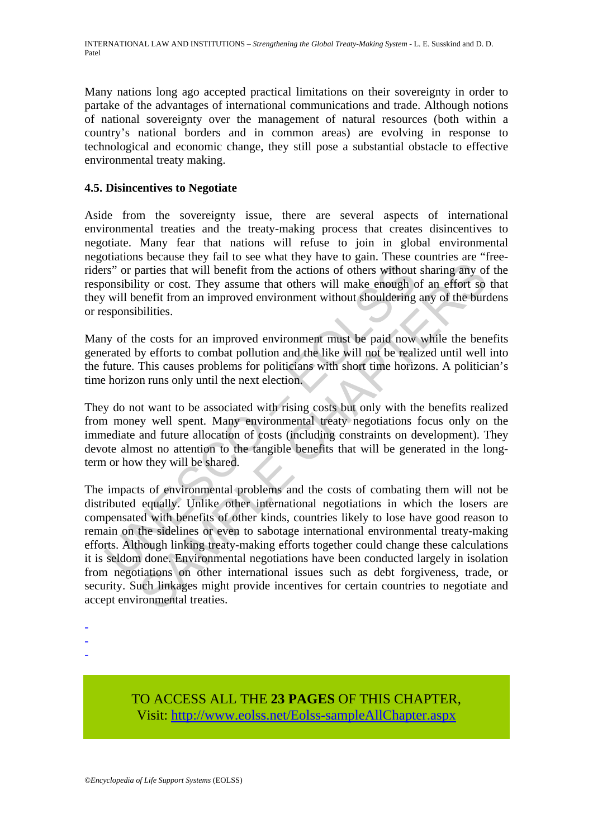Many nations long ago accepted practical limitations on their sovereignty in order to partake of the advantages of international communications and trade. Although notions of national sovereignty over the management of natural resources (both within a country's national borders and in common areas) are evolving in response to technological and economic change, they still pose a substantial obstacle to effective environmental treaty making.

# **4.5. Disincentives to Negotiate**

Aside from the sovereignty issue, there are several aspects of international environmental treaties and the treaty-making process that creates disincentives to negotiate. Many fear that nations will refuse to join in global environmental negotiations because they fail to see what they have to gain. These countries are "freeriders" or parties that will benefit from the actions of others without sharing any of the responsibility or cost. They assume that others will make enough of an effort so that they will benefit from an improved environment without shouldering any of the burdens or responsibilities.

Many of the costs for an improved environment must be paid now while the benefits generated by efforts to combat pollution and the like will not be realized until well into the future. This causes problems for politicians with short time horizons. A politician's time horizon runs only until the next election.

They do not want to be associated with rising costs but only with the benefits realized from money well spent. Many environmental treaty negotiations focus only on the immediate and future allocation of costs (including constraints on development). They devote almost no attention to the tangible benefits that will be generated in the longterm or how they will be shared.

rs" or parties that will benefit from the actions of others without<br>onsibility or cost. They assume that others will make enough c<br>will benefit from an improved environment without shouldering<br>seponsibilities.<br>Not the cost anties that will benefit from the actions of others without sharing any of the varties that will benefit from the actions of others without sharing any of tity or cost. They assume that others will make enough of an effort The impacts of environmental problems and the costs of combating them will not be distributed equally. Unlike other international negotiations in which the losers are compensated with benefits of other kinds, countries likely to lose have good reason to remain on the sidelines or even to sabotage international environmental treaty-making efforts. Although linking treaty-making efforts together could change these calculations it is seldom done. Environmental negotiations have been conducted largely in isolation from negotiations on other international issues such as debt forgiveness, trade, or security. Such linkages might provide incentives for certain countries to negotiate and accept environmental treaties.

- -
- -
- -

TO ACCESS ALL THE **23 PAGES** OF THIS CHAPTER, Visit: [http://www.eolss.net/Eolss-sampleAllChapter.aspx](https://www.eolss.net/ebooklib/sc_cart.aspx?File=E1-36-06)